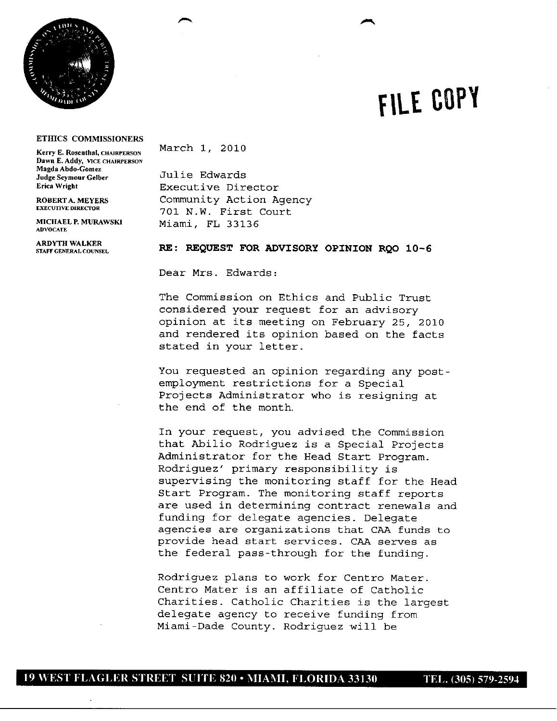

## **FILE cOPY**

p

## **ETHICS COMMISSIONERS**

Kerry E. Rosenthal, CHAIRPERSON March 1, 2010 **Dawn E. Addy, VICE CHAIRPERSON Magda Abdo-Comez Judge Seymour Gelber** Julie Edwards<br> **Executive Direct**<br> **Executive Direct** 

**ADVOCATE**

**ARDYTH WALKER STAFF GENERAL COUNSEL** 

**Executive Director ROBERTA.MEYERS** Community Action Agency **EXECUTIVE DIRECTOR** 701 N.W. First Court<br>MICHAEL P. MURAWSKI Miami FI. 33136 **Miami, FL 33136** 

## RE: REQUEST FOR **ADVISORY OPINION** RQO **10-6**

Dear Mrs. Edwards:

The Commission on Ethics and Public Trust considered your request for an advisory opinion at its meeting on February 25, 2010 and rendered its opinion based on the facts stated in your letter.

You requested an opinion regarding any postemployment restrictions for a Special Projects Administrator who is resigning at the end of the month.

In your request, you advised the Commission that Abilio Rodriguez is a Special Projects Administrator for the Head Start Program. Rodriguez' primary responsibility is supervising the monitoring staff for the Head Start Program. The monitoring staff reports are used in determining contract renewals and funding for delegate agencies. Delegate agencies are organizations that CAA funds to provide head start services. CAA serves as the federal pass-through for the funding.

Rodriguez plans to work for Centro Mater. Centro Mater is an affiliate of Catholic Charities. Catholic Charities is the largest delegate agency to receive funding from Miami-Dade County. Rodriguez will be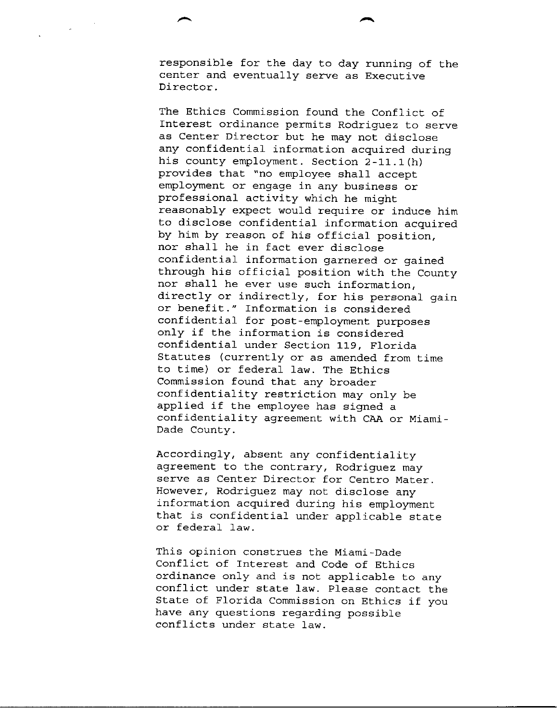responsible for the day to day running of the center and eventually serve as Executive Director.

The Ethics Commission found the Conflict of Interest ordinance permits Rodriguez to serve as Center Director but he may not disclose any confidential information acquired during his county employment. Section  $2-11.1(h)$ provides that "no employee shall accept employment or engage in any business or professional activity which he might reasonably expect would require or induce him to disclose confidential information acquired by him by reason of his official position, nor shall he in fact ever disclose confidential information garnered or gained through his official position with the County nor shall he ever use such information, directly or indirectly, for his personal gain or benefit." Information is considered confidential for post-employment purposes only if the information is considered confidential under Section 119, Florida Statutes (currently or as amended from time to time) or federal law. The Ethics Commission found that any broader confidentiality restriction may only be applied if the employee has signed a confidentiality agreement with CAA or Miami-Dade County.

Accordingly, absent any confidentiality agreement to the contrary, Rodriguez may serve as Center Director for Centro Mater. However, Rodriguez may not disclose any information acquired during his employment that is confidential under applicable state or federal law.

This opinion construes the Miami-Dade Conflict of Interest and Code of Ethics ordinance only and is not applicable to any conflict under state law. Please contact the State of Florida Commission on Ethics if you have any questions regarding possible conflicts under state law.